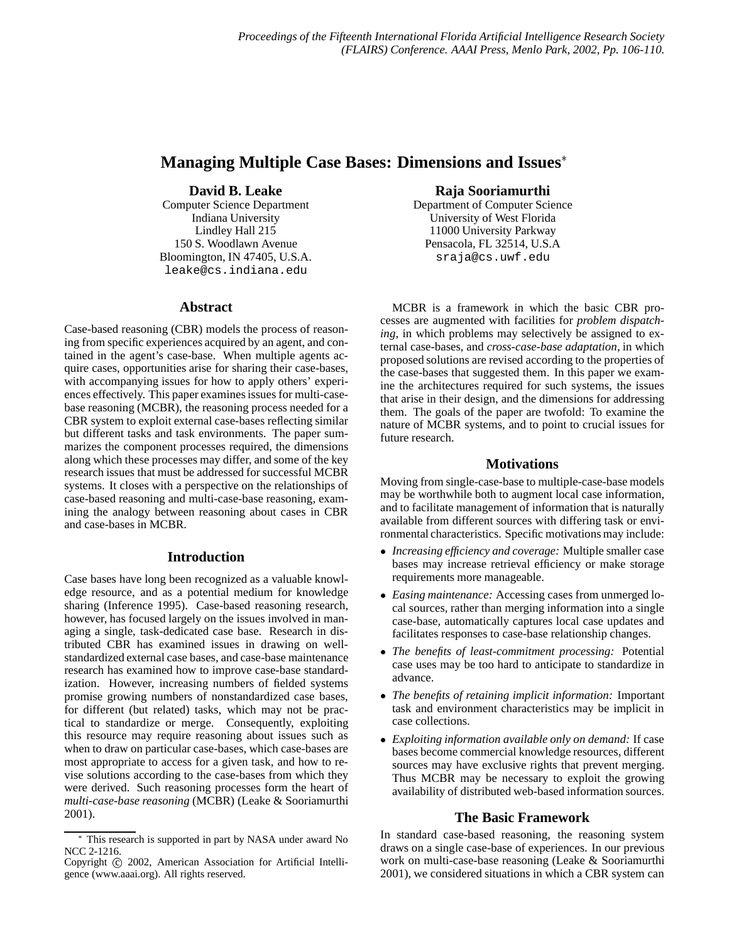# **Managing Multiple Case Bases: Dimensions and Issues**

## **David B. Leake**

Computer Science Department Indiana University Lindley Hall 215 150 S. Woodlawn Avenue Bloomington, IN 47405, U.S.A. leake@cs.indiana.edu

## **Abstract**

Case-based reasoning (CBR) models the process of reasoning from specific experiences acquired by an agent, and contained in the agent's case-base. When multiple agents acquire cases, opportunities arise for sharing their case-bases, with accompanying issues for how to apply others' experiences effectively. This paper examines issues for multi-casebase reasoning (MCBR), the reasoning process needed for a CBR system to exploit external case-bases reflecting similar but different tasks and task environments. The paper summarizes the component processes required, the dimensions along which these processes may differ, and some of the key research issues that must be addressed for successful MCBR systems. It closes with a perspective on the relationships of case-based reasoning and multi-case-base reasoning, examining the analogy between reasoning about cases in CBR and case-bases in MCBR.

# **Introduction**

Case bases have long been recognized as a valuable knowledge resource, and as a potential medium for knowledge sharing (Inference 1995). Case-based reasoning research, however, has focused largely on the issues involved in managing a single, task-dedicated case base. Research in distributed CBR has examined issues in drawing on wellstandardized external case bases, and case-base maintenance research has examined how to improve case-base standardization. However, increasing numbers of fielded systems promise growing numbers of nonstandardized case bases, for different (but related) tasks, which may not be practical to standardize or merge. Consequently, exploiting this resource may require reasoning about issues such as when to draw on particular case-bases, which case-bases are most appropriate to access for a given task, and how to revise solutions according to the case-bases from which they were derived. Such reasoning processes form the heart of *multi-case-base reasoning* (MCBR) (Leake & Sooriamurthi 2001).

## **Raja Sooriamurthi**

Department of Computer Science University of West Florida 11000 University Parkway Pensacola, FL 32514, U.S.A sraja@cs.uwf.edu

MCBR is a framework in which the basic CBR processes are augmented with facilities for *problem dispatching*, in which problems may selectively be assigned to external case-bases, and *cross-case-base adaptation*, in which proposed solutions are revised according to the properties of the case-bases that suggested them. In this paper we examine the architectures required for such systems, the issues that arise in their design, and the dimensions for addressing them. The goals of the paper are twofold: To examine the nature of MCBR systems, and to point to crucial issues for future research.

#### **Motivations**

Moving from single-case-base to multiple-case-base models may be worthwhile both to augment local case information, and to facilitate management of information that is naturally available from different sources with differing task or environmental characteristics. Specific motivations may include:

- *Increasing efficiency and coverage:* Multiple smaller case bases may increase retrieval efficiency or make storage requirements more manageable.
- *Easing maintenance:* Accessing cases from unmerged local sources, rather than merging information into a single case-base, automatically captures local case updates and facilitates responses to case-base relationship changes.
- *The benefits of least-commitment processing:* Potential case uses may be too hard to anticipate to standardize in advance.
- *The benefits of retaining implicit information:* Important task and environment characteristics may be implicit in case collections.
- *Exploiting information available only on demand:* If case bases become commercial knowledge resources, different sources may have exclusive rights that prevent merging. Thus MCBR may be necessary to exploit the growing availability of distributed web-based information sources.

## **The Basic Framework**

In standard case-based reasoning, the reasoning system draws on a single case-base of experiences. In our previous work on multi-case-base reasoning (Leake & Sooriamurthi 2001), we considered situations in which a CBR system can

This research is supported in part by NASA under award No NCC 2-1216.

Copyright © 2002, American Association for Artificial Intelligence (www.aaai.org). All rights reserved.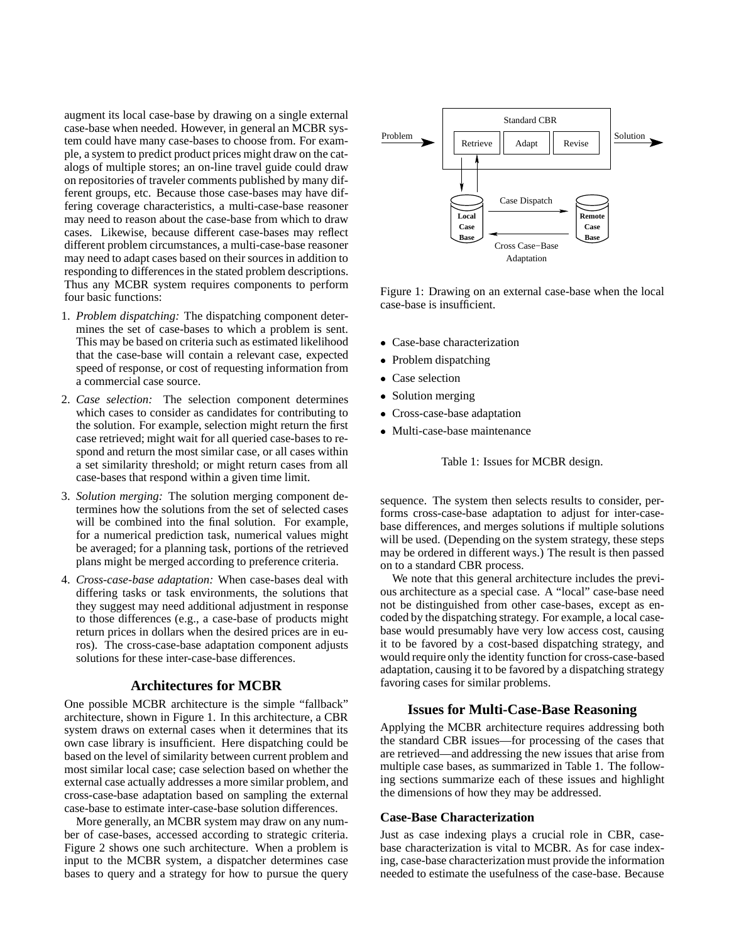augment its local case-base by drawing on a single external case-base when needed. However, in general an MCBR system could have many case-bases to choose from. For example, a system to predict product prices might draw on the catalogs of multiple stores; an on-line travel guide could draw on repositories of traveler comments published by many different groups, etc. Because those case-bases may have differing coverage characteristics, a multi-case-base reasoner may need to reason about the case-base from which to draw cases. Likewise, because different case-bases may reflect different problem circumstances, a multi-case-base reasoner may need to adapt cases based on their sources in addition to responding to differences in the stated problem descriptions. Thus any MCBR system requires components to perform four basic functions:

- 1. *Problem dispatching:* The dispatching component determines the set of case-bases to which a problem is sent. This may be based on criteria such as estimated likelihood that the case-base will contain a relevant case, expected speed of response, or cost of requesting information from a commercial case source.
- 2. *Case selection:* The selection component determines which cases to consider as candidates for contributing to the solution. For example, selection might return the first case retrieved; might wait for all queried case-bases to respond and return the most similar case, or all cases within a set similarity threshold; or might return cases from all case-bases that respond within a given time limit.
- 3. *Solution merging:* The solution merging component determines how the solutions from the set of selected cases will be combined into the final solution. For example, for a numerical prediction task, numerical values might be averaged; for a planning task, portions of the retrieved plans might be merged according to preference criteria.
- 4. *Cross-case-base adaptation:* When case-bases deal with differing tasks or task environments, the solutions that they suggest may need additional adjustment in response to those differences (e.g., a case-base of products might return prices in dollars when the desired prices are in euros). The cross-case-base adaptation component adjusts solutions for these inter-case-base differences.

# **Architectures for MCBR**

One possible MCBR architecture is the simple "fallback" architecture, shown in Figure 1. In this architecture, a CBR system draws on external cases when it determines that its own case library is insufficient. Here dispatching could be based on the level of similarity between current problem and most similar local case; case selection based on whether the external case actually addresses a more similar problem, and cross-case-base adaptation based on sampling the external case-base to estimate inter-case-base solution differences.

More generally, an MCBR system may draw on any number of case-bases, accessed according to strategic criteria. Figure 2 shows one such architecture. When a problem is input to the MCBR system, a dispatcher determines case bases to query and a strategy for how to pursue the query



Figure 1: Drawing on an external case-base when the local case-base is insufficient.

- Case-base characterization
- Problem dispatching
- Case selection
- Solution merging
- Cross-case-base adaptation
- Multi-case-base maintenance

Table 1: Issues for MCBR design.

sequence. The system then selects results to consider, performs cross-case-base adaptation to adjust for inter-casebase differences, and merges solutions if multiple solutions will be used. (Depending on the system strategy, these steps may be ordered in different ways.) The result is then passed on to a standard CBR process.

We note that this general architecture includes the previous architecture as a special case. A "local" case-base need not be distinguished from other case-bases, except as encoded by the dispatching strategy. For example, a local casebase would presumably have very low access cost, causing it to be favored by a cost-based dispatching strategy, and would require only the identity function for cross-case-based adaptation, causing it to be favored by a dispatching strategy favoring cases for similar problems.

## **Issues for Multi-Case-Base Reasoning**

Applying the MCBR architecture requires addressing both the standard CBR issues—for processing of the cases that are retrieved—and addressing the new issues that arise from multiple case bases, as summarized in Table 1. The following sections summarize each of these issues and highlight the dimensions of how they may be addressed.

## **Case-Base Characterization**

Just as case indexing plays a crucial role in CBR, casebase characterization is vital to MCBR. As for case indexing, case-base characterization must provide the information needed to estimate the usefulness of the case-base. Because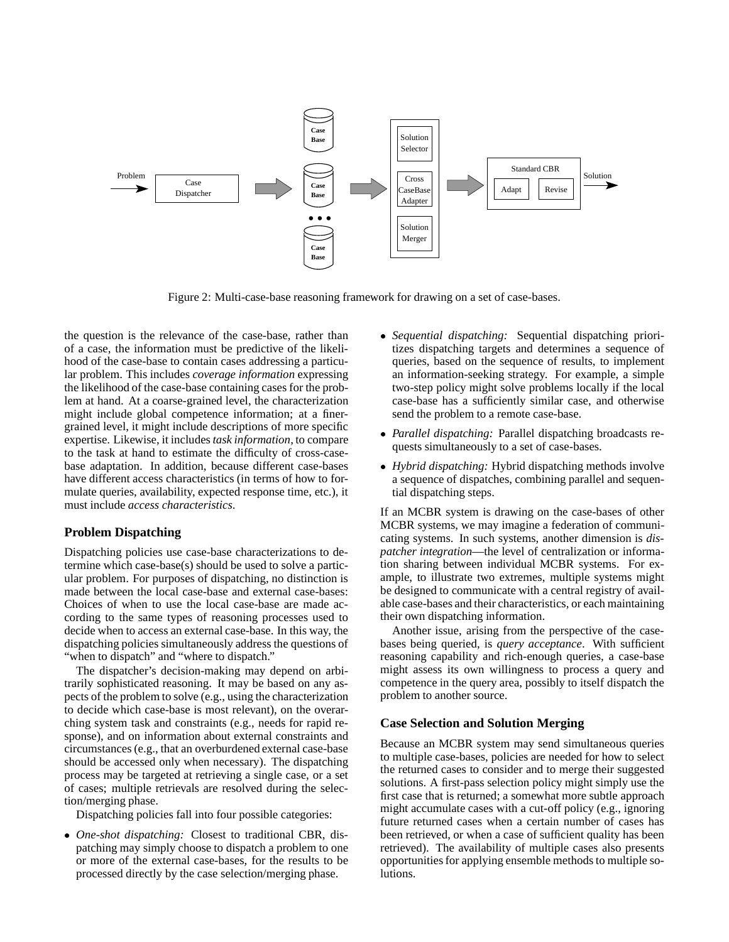

Figure 2: Multi-case-base reasoning framework for drawing on a set of case-bases.

the question is the relevance of the case-base, rather than of a case, the information must be predictive of the likelihood of the case-base to contain cases addressing a particular problem. This includes *coverage information* expressing the likelihood of the case-base containing cases for the problem at hand. At a coarse-grained level, the characterization might include global competence information; at a finergrained level, it might include descriptions of more specific expertise. Likewise, it includes*task information*, to compare to the task at hand to estimate the difficulty of cross-casebase adaptation. In addition, because different case-bases have different access characteristics (in terms of how to formulate queries, availability, expected response time, etc.), it must include *access characteristics*.

#### **Problem Dispatching**

Dispatching policies use case-base characterizations to determine which case-base(s) should be used to solve a particular problem. For purposes of dispatching, no distinction is made between the local case-base and external case-bases: Choices of when to use the local case-base are made according to the same types of reasoning processes used to decide when to access an external case-base. In this way, the dispatching policies simultaneously address the questions of "when to dispatch" and "where to dispatch."

The dispatcher's decision-making may depend on arbitrarily sophisticated reasoning. It may be based on any aspects of the problem to solve (e.g., using the characterization to decide which case-base is most relevant), on the overarching system task and constraints (e.g., needs for rapid response), and on information about external constraints and circumstances (e.g., that an overburdened external case-base should be accessed only when necessary). The dispatching process may be targeted at retrieving a single case, or a set of cases; multiple retrievals are resolved during the selection/merging phase.

Dispatching policies fall into four possible categories:

 *One-shot dispatching:* Closest to traditional CBR, dispatching may simply choose to dispatch a problem to one or more of the external case-bases, for the results to be processed directly by the case selection/merging phase.

- *Sequential dispatching:* Sequential dispatching prioritizes dispatching targets and determines a sequence of queries, based on the sequence of results, to implement an information-seeking strategy. For example, a simple two-step policy might solve problems locally if the local case-base has a sufficiently similar case, and otherwise send the problem to a remote case-base.
- *Parallel dispatching:* Parallel dispatching broadcasts requests simultaneously to a set of case-bases.
- *Hybrid dispatching:* Hybrid dispatching methods involve a sequence of dispatches, combining parallel and sequential dispatching steps.

If an MCBR system is drawing on the case-bases of other MCBR systems, we may imagine a federation of communicating systems. In such systems, another dimension is *dispatcher integration*—the level of centralization or information sharing between individual MCBR systems. For example, to illustrate two extremes, multiple systems might be designed to communicate with a central registry of available case-bases and their characteristics, or each maintaining their own dispatching information.

Another issue, arising from the perspective of the casebases being queried, is *query acceptance*. With sufficient reasoning capability and rich-enough queries, a case-base might assess its own willingness to process a query and competence in the query area, possibly to itself dispatch the problem to another source.

#### **Case Selection and Solution Merging**

Because an MCBR system may send simultaneous queries to multiple case-bases, policies are needed for how to select the returned cases to consider and to merge their suggested solutions. A first-pass selection policy might simply use the first case that is returned; a somewhat more subtle approach might accumulate cases with a cut-off policy (e.g., ignoring future returned cases when a certain number of cases has been retrieved, or when a case of sufficient quality has been retrieved). The availability of multiple cases also presents opportunities for applying ensemble methods to multiple solutions.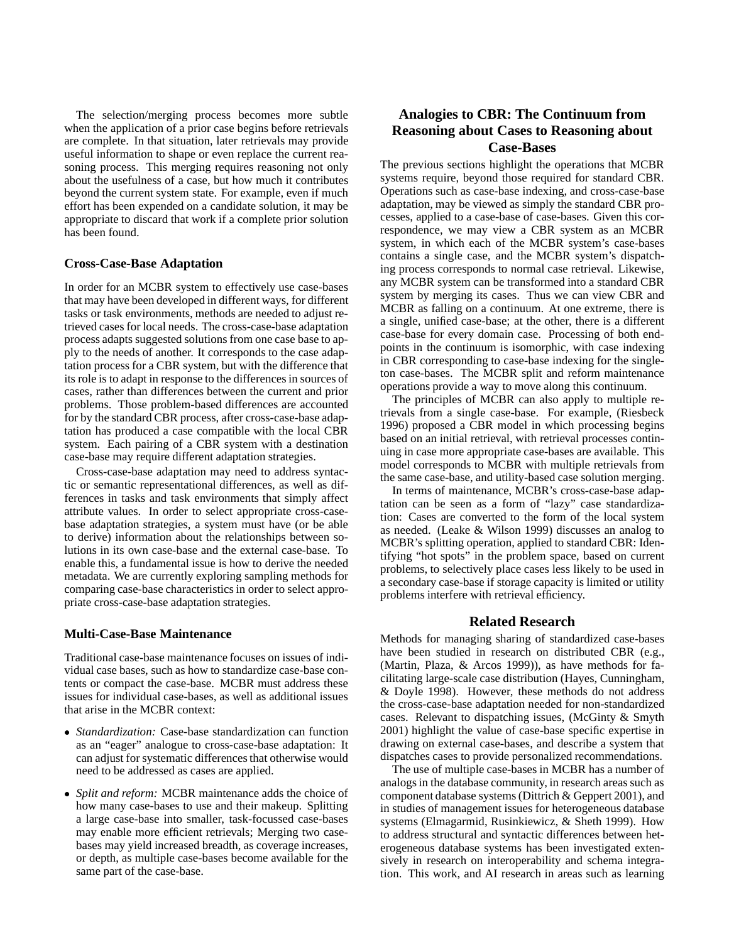The selection/merging process becomes more subtle when the application of a prior case begins before retrievals are complete. In that situation, later retrievals may provide useful information to shape or even replace the current reasoning process. This merging requires reasoning not only about the usefulness of a case, but how much it contributes beyond the current system state. For example, even if much effort has been expended on a candidate solution, it may be appropriate to discard that work if a complete prior solution has been found.

#### **Cross-Case-Base Adaptation**

In order for an MCBR system to effectively use case-bases that may have been developed in different ways, for different tasks or task environments, methods are needed to adjust retrieved cases for local needs. The cross-case-base adaptation process adapts suggested solutions from one case base to apply to the needs of another. It corresponds to the case adaptation process for a CBR system, but with the difference that its role is to adapt in response to the differences in sources of cases, rather than differences between the current and prior problems. Those problem-based differences are accounted for by the standard CBR process, after cross-case-base adaptation has produced a case compatible with the local CBR system. Each pairing of a CBR system with a destination case-base may require different adaptation strategies.

Cross-case-base adaptation may need to address syntactic or semantic representational differences, as well as differences in tasks and task environments that simply affect attribute values. In order to select appropriate cross-casebase adaptation strategies, a system must have (or be able to derive) information about the relationships between solutions in its own case-base and the external case-base. To enable this, a fundamental issue is how to derive the needed metadata. We are currently exploring sampling methods for comparing case-base characteristics in order to select appropriate cross-case-base adaptation strategies.

## **Multi-Case-Base Maintenance**

Traditional case-base maintenance focuses on issues of individual case bases, such as how to standardize case-base contents or compact the case-base. MCBR must address these issues for individual case-bases, as well as additional issues that arise in the MCBR context:

- *Standardization:* Case-base standardization can function as an "eager" analogue to cross-case-base adaptation: It can adjust for systematic differences that otherwise would need to be addressed as cases are applied.
- *Split and reform:* MCBR maintenance adds the choice of how many case-bases to use and their makeup. Splitting a large case-base into smaller, task-focussed case-bases may enable more efficient retrievals; Merging two casebases may yield increased breadth, as coverage increases, or depth, as multiple case-bases become available for the same part of the case-base.

# **Analogies to CBR: The Continuum from Reasoning about Cases to Reasoning about Case-Bases**

The previous sections highlight the operations that MCBR systems require, beyond those required for standard CBR. Operations such as case-base indexing, and cross-case-base adaptation, may be viewed as simply the standard CBR processes, applied to a case-base of case-bases. Given this correspondence, we may view a CBR system as an MCBR system, in which each of the MCBR system's case-bases contains a single case, and the MCBR system's dispatching process corresponds to normal case retrieval. Likewise, any MCBR system can be transformed into a standard CBR system by merging its cases. Thus we can view CBR and MCBR as falling on a continuum. At one extreme, there is a single, unified case-base; at the other, there is a different case-base for every domain case. Processing of both endpoints in the continuum is isomorphic, with case indexing in CBR corresponding to case-base indexing for the singleton case-bases. The MCBR split and reform maintenance operations provide a way to move along this continuum.

The principles of MCBR can also apply to multiple retrievals from a single case-base. For example, (Riesbeck 1996) proposed a CBR model in which processing begins based on an initial retrieval, with retrieval processes continuing in case more appropriate case-bases are available. This model corresponds to MCBR with multiple retrievals from the same case-base, and utility-based case solution merging.

In terms of maintenance, MCBR's cross-case-base adaptation can be seen as a form of "lazy" case standardization: Cases are converted to the form of the local system as needed. (Leake & Wilson 1999) discusses an analog to MCBR's splitting operation, applied to standard CBR: Identifying "hot spots" in the problem space, based on current problems, to selectively place cases less likely to be used in a secondary case-base if storage capacity is limited or utility problems interfere with retrieval efficiency.

## **Related Research**

Methods for managing sharing of standardized case-bases have been studied in research on distributed CBR (e.g., (Martin, Plaza, & Arcos 1999)), as have methods for facilitating large-scale case distribution (Hayes, Cunningham, & Doyle 1998). However, these methods do not address the cross-case-base adaptation needed for non-standardized cases. Relevant to dispatching issues, (McGinty & Smyth 2001) highlight the value of case-base specific expertise in drawing on external case-bases, and describe a system that dispatches cases to provide personalized recommendations.

The use of multiple case-bases in MCBR has a number of analogs in the database community, in research areas such as component database systems (Dittrich & Geppert 2001), and in studies of management issues for heterogeneous database systems (Elmagarmid, Rusinkiewicz, & Sheth 1999). How to address structural and syntactic differences between heterogeneous database systems has been investigated extensively in research on interoperability and schema integration. This work, and AI research in areas such as learning